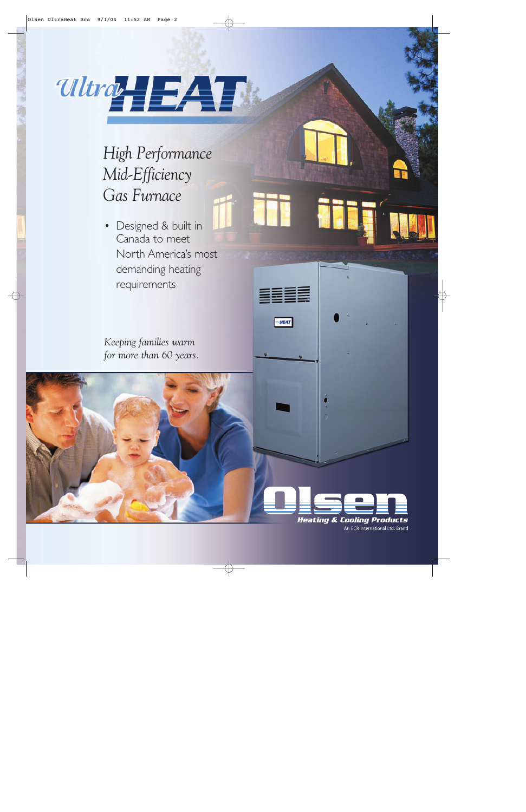

*High Performance Mid-Efficiency Gas Furnace*

• Designed & built in Canada to meet North America's most demanding heating requirements

*Keeping families warm for more than 60 years.*



**HEAT**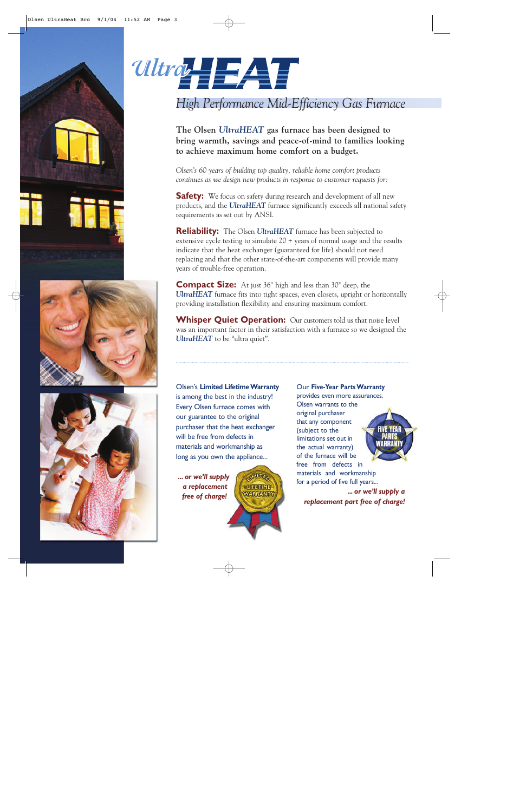







## *High Performance Mid-Efficiency Gas Furnace*

**The Olsen** *UltraHEAT* **gas furnace has been designed to bring warmth, savings and peace-of-mind to families looking to achieve maximum home comfort on a budget.**

*Olsen's 60 years of building top quality, reliable home comfort products continues as we design new products in response to customer requests for:*

**Safety:** We focus on safety during research and development of all new products, and the *UltraHEAT* furnace significantly exceeds all national safety requirements as set out by ANSI.

**Reliability:** The Olsen *UltraHEAT* furnace has been subjected to extensive cycle testing to simulate 20 + years of normal usage and the results indicate that the heat exchanger (guaranteed for life) should not need replacing and that the other state-of-the-art components will provide many years of trouble-free operation.

**Compact Size:** At just 36" high and less than 30" deep, the *UltraHEAT* furnace fits into tight spaces, even closets, upright or horizontally providing installation flexibility and ensuring maximum comfort.

**Whisper Quiet Operation:** Our customers told us that noise level was an important factor in their satisfaction with a furnace so we designed the *UltraHEAT* to be "ultra quiet".

### Olsen's **Limited Lifetime Warranty** is among the best in the industry! Every Olsen furnace comes with our guarantee to the original purchaser that the heat exchanger will be free from defects in materials and workmanship as long as you own the appliance...

**IMITE LUFETIME WARRANTY** 

*... or we'll supply a replacement free of charge!*

Our **Five-Year Parts Warranty** provides even more assurances.

Olsen warrants to the original purchaser that any component (subject to the limitations set out in the actual warranty) of the furnace will be free from defects in materials and workmanship for a period of five full years...

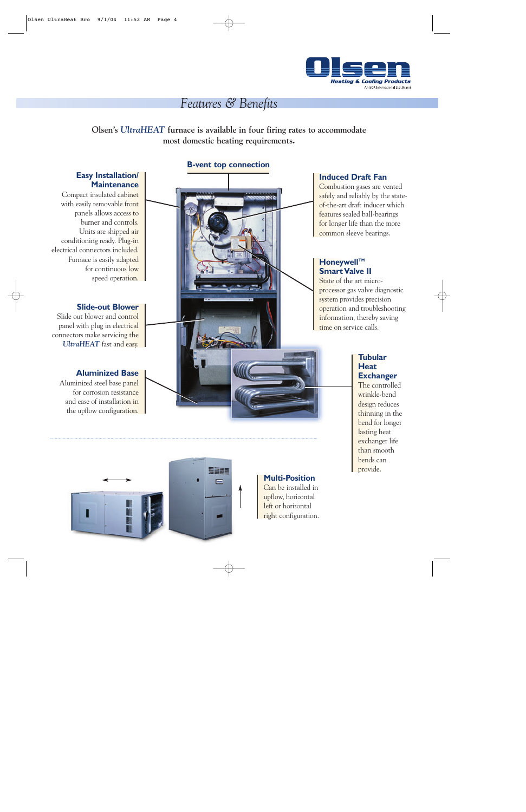

## *Features & Benefits*

**Olsen's** *UltraHEAT* **furnace is available in four firing rates to accommodate most domestic heating requirements.**

#### **Easy Installation/ Maintenance**

Compact insulated cabinet with easily removable front panels allows access to burner and controls. Units are shipped air conditioning ready. Plug-in electrical connectors included. Furnace is easily adapted for continuous low speed operation.

#### **Slide-out Blower**

Slide out blower and control panel with plug in electrical connectors make servicing the *UltraHEAT* fast and easy.

#### **Aluminized Base**

Aluminized steel base panel for corrosion resistance and ease of installation in the upflow configuration.

#### **B-vent top connection**



#### **Induced Draft Fan**

Combustion gases are vented safely and reliably by the stateof-the-art draft inducer which features sealed ball-bearings for longer life than the more common sleeve bearings.

#### **Honeywell™ Smart Valve II**

State of the art microprocessor gas valve diagnostic system provides precision operation and troubleshooting information, thereby saving time on service calls.

#### **Tubular Heat Exchanger**

The controlled wrinkle-bend design reduces thinning in the bend for longer lasting heat exchanger life than smooth bends can provide.



### **Multi-Position**

Can be installed in upflow, horizontal left or horizontal right configuration.